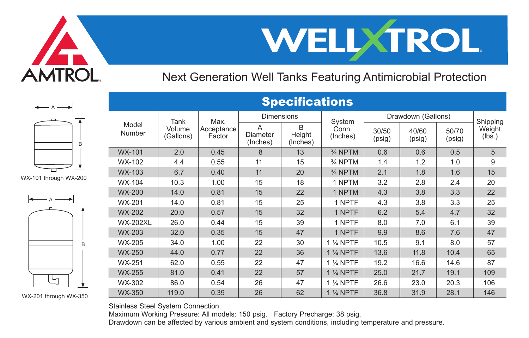



Next Generation Well Tanks Featuring Antimicrobial Protection



WX-101 through WX-200



WX-201 through WX-350

| Model<br>Number | Tank<br>Volume<br>(Gallons) | Max.<br>Acceptance<br>Factor | <b>Dimensions</b>         |                         | System            | Drawdown (Gallons) |                 |                 | Shipping         |
|-----------------|-----------------------------|------------------------------|---------------------------|-------------------------|-------------------|--------------------|-----------------|-----------------|------------------|
|                 |                             |                              | А<br>Diameter<br>(Inches) | R<br>Height<br>(Inches) | Conn.<br>(Inches) | 30/50<br>(psig)    | 40/60<br>(psig) | 50/70<br>(psig) | Weight<br>(lbs.) |
| <b>WX-101</b>   | 2.0                         | 0.45                         | 8                         | 13                      | % NPTM            | 0.6                | 0.6             | 0.5             | 5                |
| WX-102          | 4.4                         | 0.55                         | 11                        | 15                      | % NPTM            | 1.4                | 1.2             | 1.0             | 9                |
| WX-103          | 6.7                         | 0.40                         | 11                        | 20                      | % NPTM            | 2.1                | 1.8             | 1.6             | 15               |
| WX-104          | 10.3                        | 1.00                         | 15                        | 18                      | 1 NPTM            | 3.2                | 2.8             | 2.4             | 20               |
| <b>WX-200</b>   | 14.0                        | 0.81                         | 15                        | 22                      | 1 NPTM            | 4.3                | 3.8             | 3.3             | 22               |
| WX-201          | 14.0                        | 0.81                         | 15                        | 25                      | 1 NPTF            | 4.3                | 3.8             | 3.3             | 25               |
| <b>WX-202</b>   | 20.0                        | 0.57                         | 15                        | 32                      | 1 NPTF            | 6.2                | 5.4             | 4.7             | 32               |
| <b>WX-202XL</b> | 26.0                        | 0.44                         | 15                        | 39                      | 1 NPTF            | 8.0                | 7.0             | 6.1             | 39               |
| <b>WX-203</b>   | 32.0                        | 0.35                         | 15                        | 47                      | 1 NPTF            | 9.9                | 8.6             | 7.6             | 47               |
| <b>WX-205</b>   | 34.0                        | 1.00                         | 22                        | 30                      | 1 % NPTF          | 10.5               | 9.1             | 8.0             | 57               |
| <b>WX-250</b>   | 44.0                        | 0.77                         | 22                        | 36                      | 1 % NPTF          | 13.6               | 11.8            | 10.4            | 65               |
| WX-251          | 62.0                        | 0.55                         | 22                        | 47                      | $1\%$ NPTF        | 19.2               | 16.6            | 14.6            | 87               |
| <b>WX-255</b>   | 81.0                        | 0.41                         | 22                        | 57                      | 1 % NPTF          | 25.0               | 21.7            | 19.1            | 109              |
| WX-302          | 86.0                        | 0.54                         | 26                        | 47                      | 1 % NPTF          | 26.6               | 23.0            | 20.3            | 106              |
| <b>WX-350</b>   | 119.0                       | 0.39                         | 26                        | 62                      | 1 % NPTF          | 36.8               | 31.9            | 28.1            | 146              |

**Specifications** 

Stainless Steel System Connection.

Maximum Working Pressure: All models: 150 psig. Factory Precharge: 38 psig. Drawdown can be affected by various ambient and system conditions, including temperature and pressure.